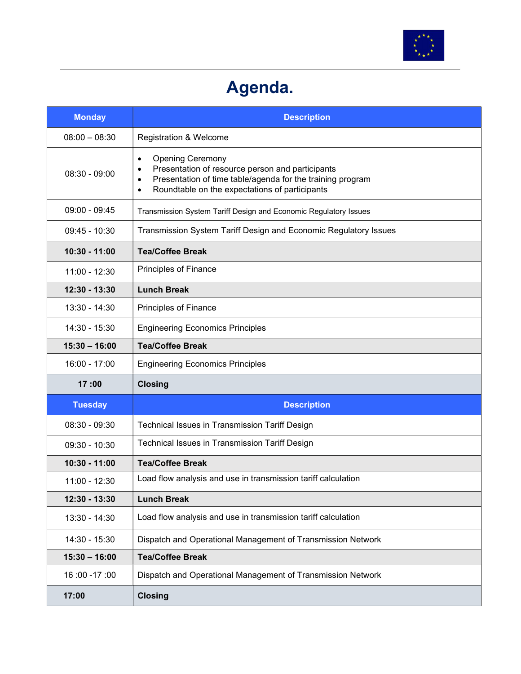

## Agenda.

| <b>Monday</b>   | <b>Description</b>                                                                                                                                                                                                                      |
|-----------------|-----------------------------------------------------------------------------------------------------------------------------------------------------------------------------------------------------------------------------------------|
| $08:00 - 08:30$ | <b>Registration &amp; Welcome</b>                                                                                                                                                                                                       |
| $08:30 - 09:00$ | <b>Opening Ceremony</b><br>$\bullet$<br>Presentation of resource person and participants<br>٠<br>Presentation of time table/agenda for the training program<br>$\bullet$<br>Roundtable on the expectations of participants<br>$\bullet$ |
| $09:00 - 09:45$ | Transmission System Tariff Design and Economic Regulatory Issues                                                                                                                                                                        |
| $09:45 - 10:30$ | Transmission System Tariff Design and Economic Regulatory Issues                                                                                                                                                                        |
| 10:30 - 11:00   | <b>Tea/Coffee Break</b>                                                                                                                                                                                                                 |
| $11:00 - 12:30$ | Principles of Finance                                                                                                                                                                                                                   |
| 12:30 - 13:30   | <b>Lunch Break</b>                                                                                                                                                                                                                      |
| $13:30 - 14:30$ | Principles of Finance                                                                                                                                                                                                                   |
| 14:30 - 15:30   | <b>Engineering Economics Principles</b>                                                                                                                                                                                                 |
| $15:30 - 16:00$ | <b>Tea/Coffee Break</b>                                                                                                                                                                                                                 |
| 16:00 - 17:00   | <b>Engineering Economics Principles</b>                                                                                                                                                                                                 |
| 17:00           | <b>Closing</b>                                                                                                                                                                                                                          |
| <b>Tuesday</b>  | <b>Description</b>                                                                                                                                                                                                                      |
| $08:30 - 09:30$ | Technical Issues in Transmission Tariff Design                                                                                                                                                                                          |
| $09:30 - 10:30$ | Technical Issues in Transmission Tariff Design                                                                                                                                                                                          |
| 10:30 - 11:00   | <b>Tea/Coffee Break</b>                                                                                                                                                                                                                 |
| $11:00 - 12:30$ | Load flow analysis and use in transmission tariff calculation                                                                                                                                                                           |
| 12:30 - 13:30   | <b>Lunch Break</b>                                                                                                                                                                                                                      |
| 13:30 - 14:30   | Load flow analysis and use in transmission tariff calculation                                                                                                                                                                           |
| 14:30 - 15:30   | Dispatch and Operational Management of Transmission Network                                                                                                                                                                             |
| $15:30 - 16:00$ | <b>Tea/Coffee Break</b>                                                                                                                                                                                                                 |
| 16:00 - 17:00   | Dispatch and Operational Management of Transmission Network                                                                                                                                                                             |
| 17:00           | <b>Closing</b>                                                                                                                                                                                                                          |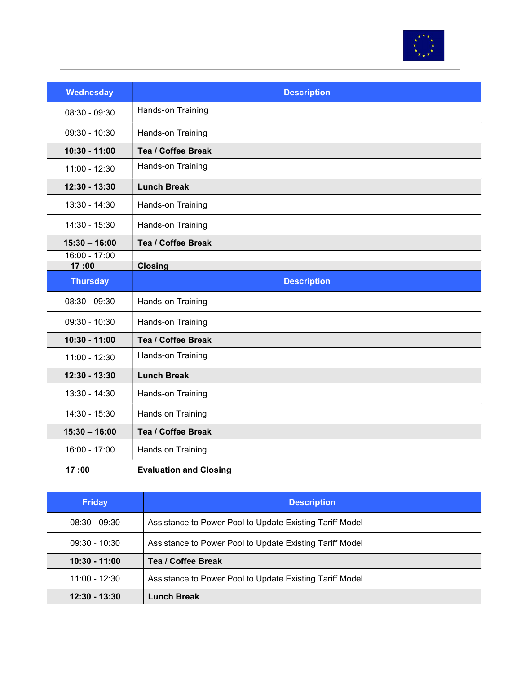

| <b>Wednesday</b>       | <b>Description</b>            |
|------------------------|-------------------------------|
| $08:30 - 09:30$        | Hands-on Training             |
| $09:30 - 10:30$        | Hands-on Training             |
| 10:30 - 11:00          | <b>Tea / Coffee Break</b>     |
| 11:00 - 12:30          | Hands-on Training             |
| 12:30 - 13:30          | <b>Lunch Break</b>            |
| $13:30 - 14:30$        | Hands-on Training             |
| 14:30 - 15:30          | Hands-on Training             |
| $15:30 - 16:00$        | Tea / Coffee Break            |
| 16:00 - 17:00<br>17:00 | <b>Closing</b>                |
| <b>Thursday</b>        | <b>Description</b>            |
|                        |                               |
| $08:30 - 09:30$        | Hands-on Training             |
| $09:30 - 10:30$        | Hands-on Training             |
| 10:30 - 11:00          | Tea / Coffee Break            |
| $11:00 - 12:30$        | Hands-on Training             |
| 12:30 - 13:30          | <b>Lunch Break</b>            |
| $13:30 - 14:30$        | Hands-on Training             |
| 14:30 - 15:30          | Hands on Training             |
| $15:30 - 16:00$        | Tea / Coffee Break            |
| 16:00 - 17:00          | Hands on Training             |
| 17:00                  | <b>Evaluation and Closing</b> |

| <b>Friday</b>   | <b>Description</b>                                       |
|-----------------|----------------------------------------------------------|
| $08:30 - 09:30$ | Assistance to Power Pool to Update Existing Tariff Model |
| $09:30 - 10:30$ | Assistance to Power Pool to Update Existing Tariff Model |
| $10:30 - 11:00$ | Tea / Coffee Break                                       |
| $11:00 - 12:30$ | Assistance to Power Pool to Update Existing Tariff Model |
| $12:30 - 13:30$ | <b>Lunch Break</b>                                       |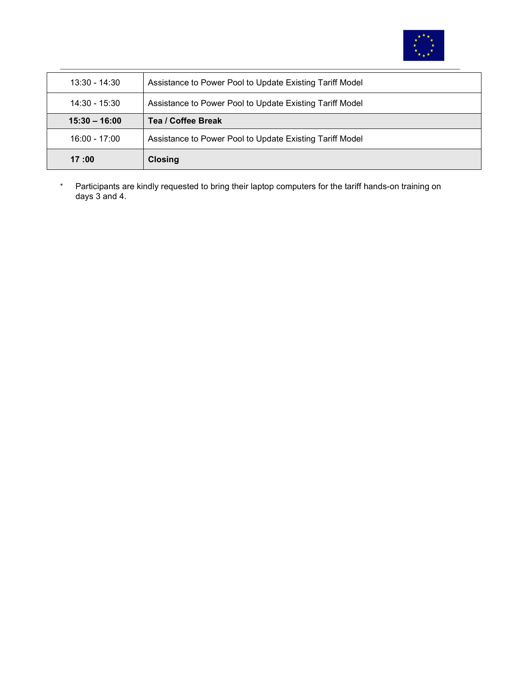

| $13:30 - 14:30$ | Assistance to Power Pool to Update Existing Tariff Model |
|-----------------|----------------------------------------------------------|
| 14:30 - 15:30   | Assistance to Power Pool to Update Existing Tariff Model |
| $15:30 - 16:00$ | Tea / Coffee Break                                       |
| $16:00 - 17:00$ | Assistance to Power Pool to Update Existing Tariff Model |
| 17:00           | <b>Closing</b>                                           |

\* Participants are kindly requested to bring their laptop computers for the tariff hands-on training on days 3 and 4.